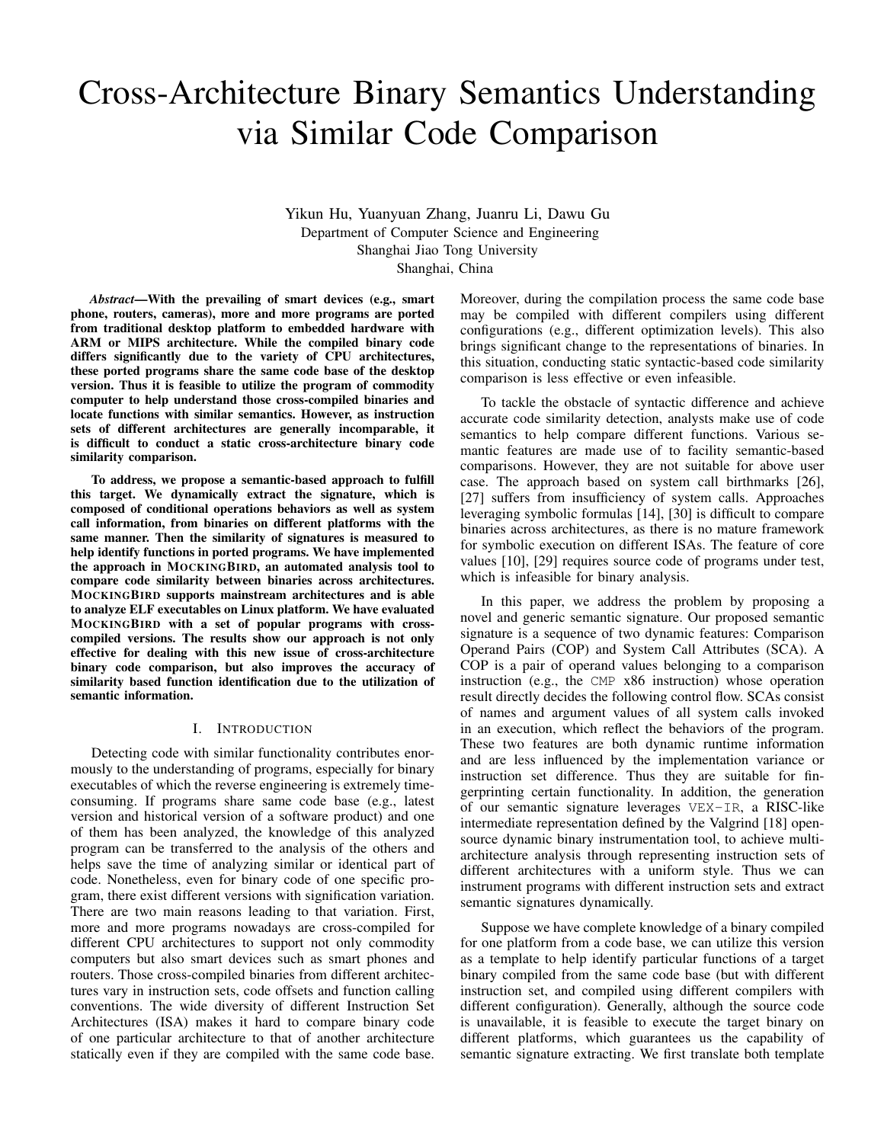# Cross-Architecture Binary Semantics Understanding via Similar Code Comparison

Yikun Hu, Yuanyuan Zhang, Juanru Li, Dawu Gu Department of Computer Science and Engineering Shanghai Jiao Tong University Shanghai, China

*Abstract*—With the prevailing of smart devices (e.g., smart phone, routers, cameras), more and more programs are ported from traditional desktop platform to embedded hardware with ARM or MIPS architecture. While the compiled binary code differs significantly due to the variety of CPU architectures, these ported programs share the same code base of the desktop version. Thus it is feasible to utilize the program of commodity computer to help understand those cross-compiled binaries and locate functions with similar semantics. However, as instruction sets of different architectures are generally incomparable, it is difficult to conduct a static cross-architecture binary code similarity comparison.

To address, we propose a semantic-based approach to fulfill this target. We dynamically extract the signature, which is composed of conditional operations behaviors as well as system call information, from binaries on different platforms with the same manner. Then the similarity of signatures is measured to help identify functions in ported programs. We have implemented the approach in MOCKINGBIRD, an automated analysis tool to compare code similarity between binaries across architectures. MOCKINGBIRD supports mainstream architectures and is able to analyze ELF executables on Linux platform. We have evaluated MOCKINGBIRD with a set of popular programs with crosscompiled versions. The results show our approach is not only effective for dealing with this new issue of cross-architecture binary code comparison, but also improves the accuracy of similarity based function identification due to the utilization of semantic information.

#### I. INTRODUCTION

Detecting code with similar functionality contributes enormously to the understanding of programs, especially for binary executables of which the reverse engineering is extremely timeconsuming. If programs share same code base (e.g., latest version and historical version of a software product) and one of them has been analyzed, the knowledge of this analyzed program can be transferred to the analysis of the others and helps save the time of analyzing similar or identical part of code. Nonetheless, even for binary code of one specific program, there exist different versions with signification variation. There are two main reasons leading to that variation. First, more and more programs nowadays are cross-compiled for different CPU architectures to support not only commodity computers but also smart devices such as smart phones and routers. Those cross-compiled binaries from different architectures vary in instruction sets, code offsets and function calling conventions. The wide diversity of different Instruction Set Architectures (ISA) makes it hard to compare binary code of one particular architecture to that of another architecture statically even if they are compiled with the same code base. Moreover, during the compilation process the same code base may be compiled with different compilers using different configurations (e.g., different optimization levels). This also brings significant change to the representations of binaries. In this situation, conducting static syntactic-based code similarity comparison is less effective or even infeasible.

To tackle the obstacle of syntactic difference and achieve accurate code similarity detection, analysts make use of code semantics to help compare different functions. Various semantic features are made use of to facility semantic-based comparisons. However, they are not suitable for above user case. The approach based on system call birthmarks [26], [27] suffers from insufficiency of system calls. Approaches leveraging symbolic formulas [14], [30] is difficult to compare binaries across architectures, as there is no mature framework for symbolic execution on different ISAs. The feature of core values [10], [29] requires source code of programs under test, which is infeasible for binary analysis.

In this paper, we address the problem by proposing a novel and generic semantic signature. Our proposed semantic signature is a sequence of two dynamic features: Comparison Operand Pairs (COP) and System Call Attributes (SCA). A COP is a pair of operand values belonging to a comparison instruction (e.g., the CMP x86 instruction) whose operation result directly decides the following control flow. SCAs consist of names and argument values of all system calls invoked in an execution, which reflect the behaviors of the program. These two features are both dynamic runtime information and are less influenced by the implementation variance or instruction set difference. Thus they are suitable for fingerprinting certain functionality. In addition, the generation of our semantic signature leverages VEX-IR, a RISC-like intermediate representation defined by the Valgrind [18] opensource dynamic binary instrumentation tool, to achieve multiarchitecture analysis through representing instruction sets of different architectures with a uniform style. Thus we can instrument programs with different instruction sets and extract semantic signatures dynamically.

Suppose we have complete knowledge of a binary compiled for one platform from a code base, we can utilize this version as a template to help identify particular functions of a target binary compiled from the same code base (but with different instruction set, and compiled using different compilers with different configuration). Generally, although the source code is unavailable, it is feasible to execute the target binary on different platforms, which guarantees us the capability of semantic signature extracting. We first translate both template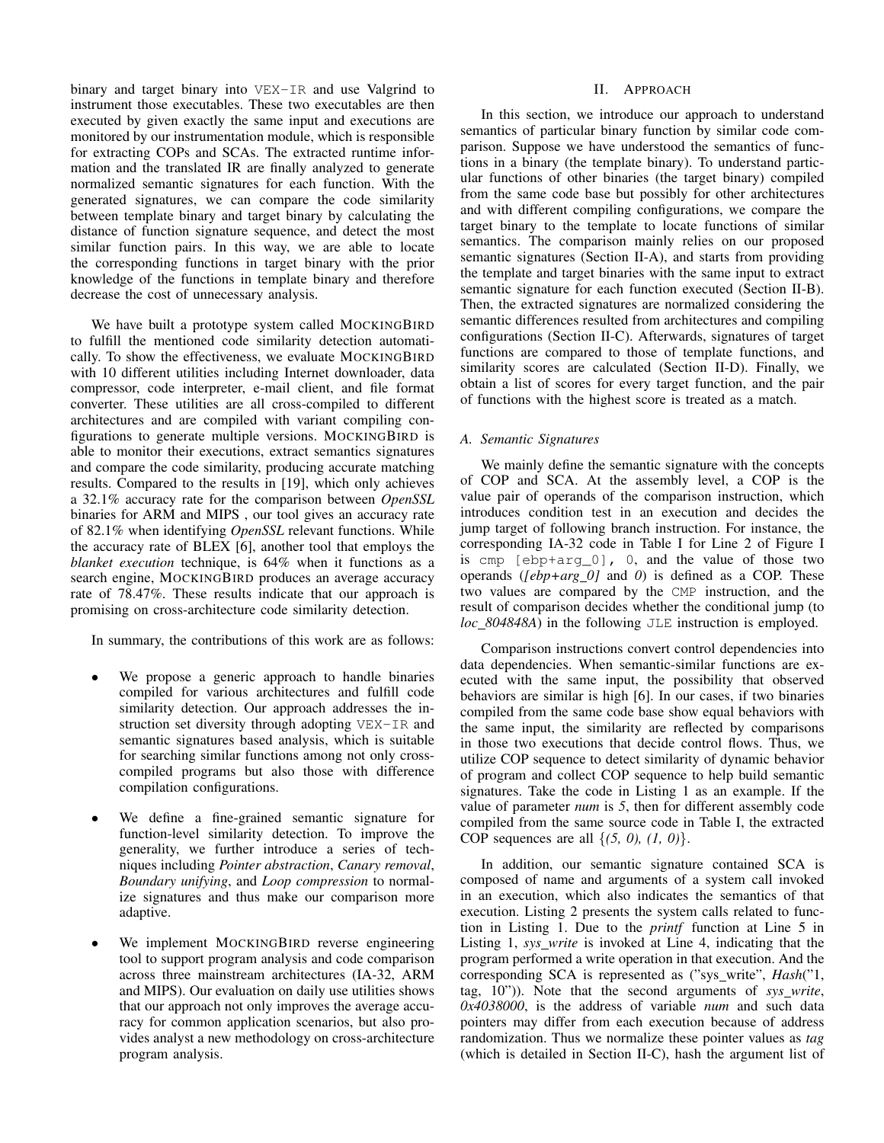binary and target binary into VEX-IR and use Valgrind to instrument those executables. These two executables are then executed by given exactly the same input and executions are monitored by our instrumentation module, which is responsible for extracting COPs and SCAs. The extracted runtime information and the translated IR are finally analyzed to generate normalized semantic signatures for each function. With the generated signatures, we can compare the code similarity between template binary and target binary by calculating the distance of function signature sequence, and detect the most similar function pairs. In this way, we are able to locate the corresponding functions in target binary with the prior knowledge of the functions in template binary and therefore decrease the cost of unnecessary analysis.

We have built a prototype system called MOCKINGBIRD to fulfill the mentioned code similarity detection automatically. To show the effectiveness, we evaluate MOCKINGBIRD with 10 different utilities including Internet downloader, data compressor, code interpreter, e-mail client, and file format converter. These utilities are all cross-compiled to different architectures and are compiled with variant compiling configurations to generate multiple versions. MOCKINGBIRD is able to monitor their executions, extract semantics signatures and compare the code similarity, producing accurate matching results. Compared to the results in [19], which only achieves a 32.1% accuracy rate for the comparison between *OpenSSL* binaries for ARM and MIPS , our tool gives an accuracy rate of 82.1% when identifying *OpenSSL* relevant functions. While the accuracy rate of BLEX [6], another tool that employs the *blanket execution* technique, is 64% when it functions as a search engine, MOCKINGBIRD produces an average accuracy rate of 78.47%. These results indicate that our approach is promising on cross-architecture code similarity detection.

In summary, the contributions of this work are as follows:

- We propose a generic approach to handle binaries compiled for various architectures and fulfill code similarity detection. Our approach addresses the instruction set diversity through adopting VEX-IR and semantic signatures based analysis, which is suitable for searching similar functions among not only crosscompiled programs but also those with difference compilation configurations.
- We define a fine-grained semantic signature for function-level similarity detection. To improve the generality, we further introduce a series of techniques including *Pointer abstraction*, *Canary removal*, *Boundary unifying*, and *Loop compression* to normalize signatures and thus make our comparison more adaptive.
- We implement MOCKINGBIRD reverse engineering tool to support program analysis and code comparison across three mainstream architectures (IA-32, ARM and MIPS). Our evaluation on daily use utilities shows that our approach not only improves the average accuracy for common application scenarios, but also provides analyst a new methodology on cross-architecture program analysis.

## II. APPROACH

In this section, we introduce our approach to understand semantics of particular binary function by similar code comparison. Suppose we have understood the semantics of functions in a binary (the template binary). To understand particular functions of other binaries (the target binary) compiled from the same code base but possibly for other architectures and with different compiling configurations, we compare the target binary to the template to locate functions of similar semantics. The comparison mainly relies on our proposed semantic signatures (Section II-A), and starts from providing the template and target binaries with the same input to extract semantic signature for each function executed (Section II-B). Then, the extracted signatures are normalized considering the semantic differences resulted from architectures and compiling configurations (Section II-C). Afterwards, signatures of target functions are compared to those of template functions, and similarity scores are calculated (Section II-D). Finally, we obtain a list of scores for every target function, and the pair of functions with the highest score is treated as a match.

# *A. Semantic Signatures*

We mainly define the semantic signature with the concepts of COP and SCA. At the assembly level, a COP is the value pair of operands of the comparison instruction, which introduces condition test in an execution and decides the jump target of following branch instruction. For instance, the corresponding IA-32 code in Table I for Line 2 of Figure I is cmp [ebp+arg\_0], 0, and the value of those two operands (*[ebp+arg 0]* and *0*) is defined as a COP. These two values are compared by the CMP instruction, and the result of comparison decides whether the conditional jump (to *loc 804848A*) in the following JLE instruction is employed.

Comparison instructions convert control dependencies into data dependencies. When semantic-similar functions are executed with the same input, the possibility that observed behaviors are similar is high [6]. In our cases, if two binaries compiled from the same code base show equal behaviors with the same input, the similarity are reflected by comparisons in those two executions that decide control flows. Thus, we utilize COP sequence to detect similarity of dynamic behavior of program and collect COP sequence to help build semantic signatures. Take the code in Listing 1 as an example. If the value of parameter *num* is *5*, then for different assembly code compiled from the same source code in Table I, the extracted COP sequences are all *{(5, 0), (1, 0)}*.

In addition, our semantic signature contained SCA is composed of name and arguments of a system call invoked in an execution, which also indicates the semantics of that execution. Listing 2 presents the system calls related to function in Listing 1. Due to the *printf* function at Line 5 in Listing 1, *sys write* is invoked at Line 4, indicating that the program performed a write operation in that execution. And the corresponding SCA is represented as ("sys write", *Hash*("1, tag, 10")). Note that the second arguments of *sys write*, *0x4038000*, is the address of variable *num* and such data pointers may differ from each execution because of address randomization. Thus we normalize these pointer values as *tag* (which is detailed in Section II-C), hash the argument list of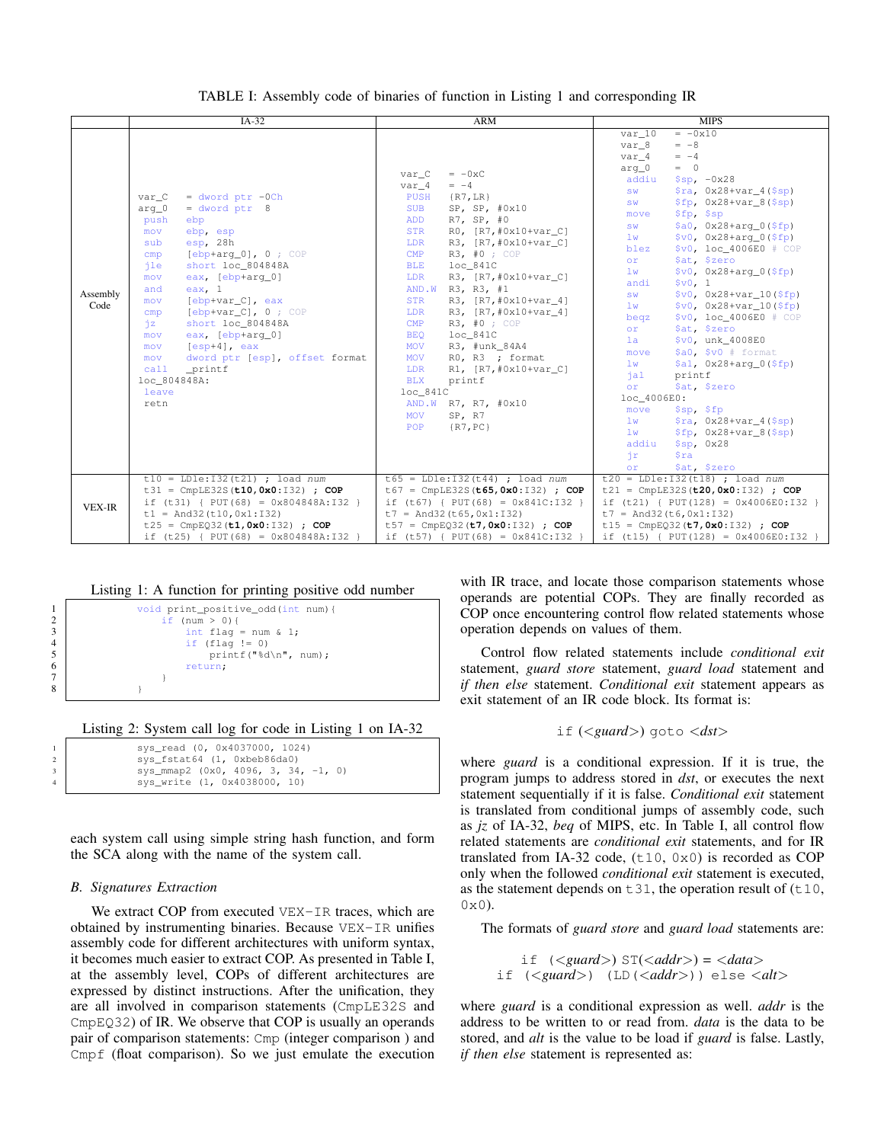|                  | $IA-32$                                                                                                                                                                                                                                                                                                                                                                                                                                                                                                   | <b>ARM</b>                                                                                                                                                                                                                                                                                                                                                                                                                                                                                                                                                                                                                                                                                                                      | <b>MIPS</b>                                                                                                                                                                                                                                                                                                                                                                                                                                                                                                                                                                                                                                                                                                                                                                                                                                                                                                    |
|------------------|-----------------------------------------------------------------------------------------------------------------------------------------------------------------------------------------------------------------------------------------------------------------------------------------------------------------------------------------------------------------------------------------------------------------------------------------------------------------------------------------------------------|---------------------------------------------------------------------------------------------------------------------------------------------------------------------------------------------------------------------------------------------------------------------------------------------------------------------------------------------------------------------------------------------------------------------------------------------------------------------------------------------------------------------------------------------------------------------------------------------------------------------------------------------------------------------------------------------------------------------------------|----------------------------------------------------------------------------------------------------------------------------------------------------------------------------------------------------------------------------------------------------------------------------------------------------------------------------------------------------------------------------------------------------------------------------------------------------------------------------------------------------------------------------------------------------------------------------------------------------------------------------------------------------------------------------------------------------------------------------------------------------------------------------------------------------------------------------------------------------------------------------------------------------------------|
| Assembly<br>Code | var C<br>$=$ dword ptr $-0$ Ch<br>$=$ dword ptr $8$<br>$arg_0$<br>ebp<br>push<br>ebp, esp<br>mov<br>esp, 28h<br>sub<br>$[ebp+arg_0], 0; COP$<br>cmp<br>1e<br>short loc 804848A<br>eax, [ebp+arg_0]<br>mov<br>$eax$ , 1<br>and<br>[ebp+var_C], eax<br>mov<br>$[ebp+var_C], 0; COP$<br>cmp<br>short loc_804848A<br>ήz<br>eax, [ebp+arq_0]<br>mov<br>$[esp+4]$ , eax<br>mov<br>dword ptr [esp], offset format<br>mov<br>call<br>printf<br>loc 804848A:<br>leave<br>retn<br>$t10 = LD1e: I32(t21)$ ; load num | $= -0 \times C$<br>var C<br>$var_4$<br>$=-4$<br>PUSH<br>$\{R7, LR\}$<br>SP, SP, $#0x10$<br><b>SUB</b><br>R7, SP, #0<br><b>ADD</b><br><b>STR</b><br>R0, [R7, #0x10+var_C]<br><b>LDR</b><br>R3, [R7, #0x10+var_C]<br>R3, #0; COP<br><b>CMP</b><br>loc 841C<br><b>BLE</b><br><b>LDR</b><br>R3, [R7, #0x10+var_C]<br>R3, R3, #1<br>AND.W<br><b>STR</b><br>R3, [R7,#0x10+var 4]<br>R3, [R7,#0x10+var 4]<br><b>LDR</b><br>R3, #0 ; COP<br><b>CMP</b><br>$loc_841C$<br><b>BEO</b><br><b>MOV</b><br>R3, #unk_84A4<br><b>MOV</b><br>RO, R3 ; format<br>R1, [R7,#0x10+var C]<br><b>LDR</b><br><b>BLX</b><br>printf<br>loc 841C<br>AND.W R7, R7, #0x10<br>SP, R7<br><b>MOV</b><br>POP<br>$\{R7, PC\}$<br>$t65 = LD1e: I32(t44)$ ; load num | $= -0x10$<br>$var$ 10<br>$=-8$<br>var 8<br>var 4<br>$=-4$<br>$= 0$<br>$arg_0$<br>addiu<br>$$sp, -0x28$<br>$\frac{1}{2}ra$ , 0x28+var_4(\$sp)<br><b>SW</b><br>$$fp, 0x28+var_8($ \$sp)<br><b>SW</b><br>\$fp, \$sp<br>move<br>$$a0, 0x28+arg_0($ \$fp)<br>$\texttt{SW}$<br>$$v0, 0x28+arg 0(Sfp)$$<br>1w<br>$$v0, loc_4006E0 # COP$<br>blez<br>\$at, \$zero<br>or<br>1w<br>$$v0, 0x28+arg 0(Sfp)$$<br>andi<br>Sv0, 1<br>$$v0, 0x28+var_10(Sfp)$$<br><b>SW</b><br>$$v0, 0x28+var_10(Sfp)$$<br>1w<br>$$v0, loc_4006E0 # COP$<br>begz<br>\$at, \$zero<br>or.<br>\$v0, unk 4008E0<br>1a<br>$$a0, $v0 \#$ format<br>move<br>$$a1, 0x28+arg_0($ \$fp)<br>1w<br>jail<br>printf<br>\$at, \$zero<br>or<br>loc 4006E0:<br>\$sp, \$fp<br>move<br>1w<br>$\frac{1}{2}ra$ , 0x28+var_4(\$sp)<br>1w<br>$$fp, 0x28+var_8($ \$sp)<br>addiu<br>\$sp, 0x28<br>jr<br>Sra<br>\$at, \$zero<br>or.<br>$t20 = LDle: I32(t18)$ ; load num |
| <b>VEX-IR</b>    | $t31 =$ CmpLE32S( $t10, 0x0:132$ ) ; COP<br>if $(t31)$ { PUT(68) = 0x804848A:I32 }<br>$t1 = And32(t10, 0x1:132)$<br>t25 = $CmpE032$ (t1, $0x0:132$ ) ; COP<br>if (t25) { $PUT(68) = 0x804848A:132$ }                                                                                                                                                                                                                                                                                                      | t 67 = CmpLE32S (t65, 0x0:132) ; COP<br>if $(t67)$ { PUT(68) = $0x841C:132$ }<br>$t7 = And32(t65, 0x1:132)$<br>t57 = $CmpE032(t7, 0x0:132)$ ; COP<br>if $(t57)$ { PUT $(68)$ = 0x841C:I32 }                                                                                                                                                                                                                                                                                                                                                                                                                                                                                                                                     | $t21 =$ CmpLE32S(t20,0x0:132) ; COP<br>if $(t21)$ { PUT(128) = 0x4006E0:I32 }<br>$t7 = And32(t6, 0x1:132)$<br>t15 = $CmpEQ32$ (t7, 0x0:132) ; COP<br>if (t15) { $PUT(128) = 0x4006E0:132$ }                                                                                                                                                                                                                                                                                                                                                                                                                                                                                                                                                                                                                                                                                                                    |

TABLE I: Assembly code of binaries of function in Listing 1 and corresponding IR

#### Listing 1: A function for printing positive odd number

```
1 void print_positive_odd(int num){<br>if (num > 0){
\begin{array}{c|c}\n2 \\
3\n\end{array} if (num > 0){<br>int flag =
\begin{array}{c|c}\n3 & \text{int flag} = \text{num } \& 1; \\
4 & \text{if (flag != 0)}\n\end{array}4 if (flag != 0)<br>5 if (flag != 0)5 printf("d\n\pi", num);<br>6 return;
\begin{bmatrix} 6 \\ 7 \end{bmatrix} return;
7 }
8 }
```
Listing 2: System call log for code in Listing 1 on IA-32

```
1 sys_read (0, 0x4037000, 1024)<br>sys_fstat64 (1, 0xbeb86da0)
                          sys_fstat64 (1, 0xbeb86da0)
\begin{array}{c|cc}\n 3 & \text{sys\_mmap2} & (0 \times 0, 4096, 3, 34, -1, 0) \\
 \hline\n 4 & \text{sws write} & (1, 0 \times 4038000, 10)\n \end{array}sys write (1, 0x4038000, 10)
```
each system call using simple string hash function, and form the SCA along with the name of the system call.

## *B. Signatures Extraction*

We extract COP from executed VEX-IR traces, which are obtained by instrumenting binaries. Because VEX-IR unifies assembly code for different architectures with uniform syntax, it becomes much easier to extract COP. As presented in Table I, at the assembly level, COPs of different architectures are expressed by distinct instructions. After the unification, they are all involved in comparison statements (CmpLE32S and CmpEQ32) of IR. We observe that COP is usually an operands pair of comparison statements: Cmp (integer comparison ) and Cmpf (float comparison). So we just emulate the execution with IR trace, and locate those comparison statements whose operands are potential COPs. They are finally recorded as COP once encountering control flow related statements whose operation depends on values of them.

Control flow related statements include *conditional exit* statement, *guard store* statement, *guard load* statement and *if then else* statement. *Conditional exit* statement appears as exit statement of an IR code block. Its format is:

if (*<guard>*) goto *<dst>*

where *guard* is a conditional expression. If it is true, the program jumps to address stored in *dst*, or executes the next statement sequentially if it is false. *Conditional exit* statement is translated from conditional jumps of assembly code, such as *jz* of IA-32, *beq* of MIPS, etc. In Table I, all control flow related statements are *conditional exit* statements, and for IR translated from IA-32 code,  $(t10, 0x0)$  is recorded as COP only when the followed *conditional exit* statement is executed, as the statement depends on  $t31$ , the operation result of ( $t10$ , 0x0).

The formats of *guard store* and *guard load* statements are:

$$
\begin{aligned}\n \text{if } & (\langle \textit{guard} \rangle) \text{ST}(\langle \textit{addr} \rangle) = \langle \textit{data} \rangle \\
 \text{if } & (\langle \textit{guard} \rangle) \text{ (LD } (\langle \textit{addr} \rangle) \text{ ) else } \langle \textit{alt} \rangle\n \end{aligned}
$$

where *guard* is a conditional expression as well. *addr* is the address to be written to or read from. *data* is the data to be stored, and *alt* is the value to be load if *guard* is false. Lastly, *if then else* statement is represented as: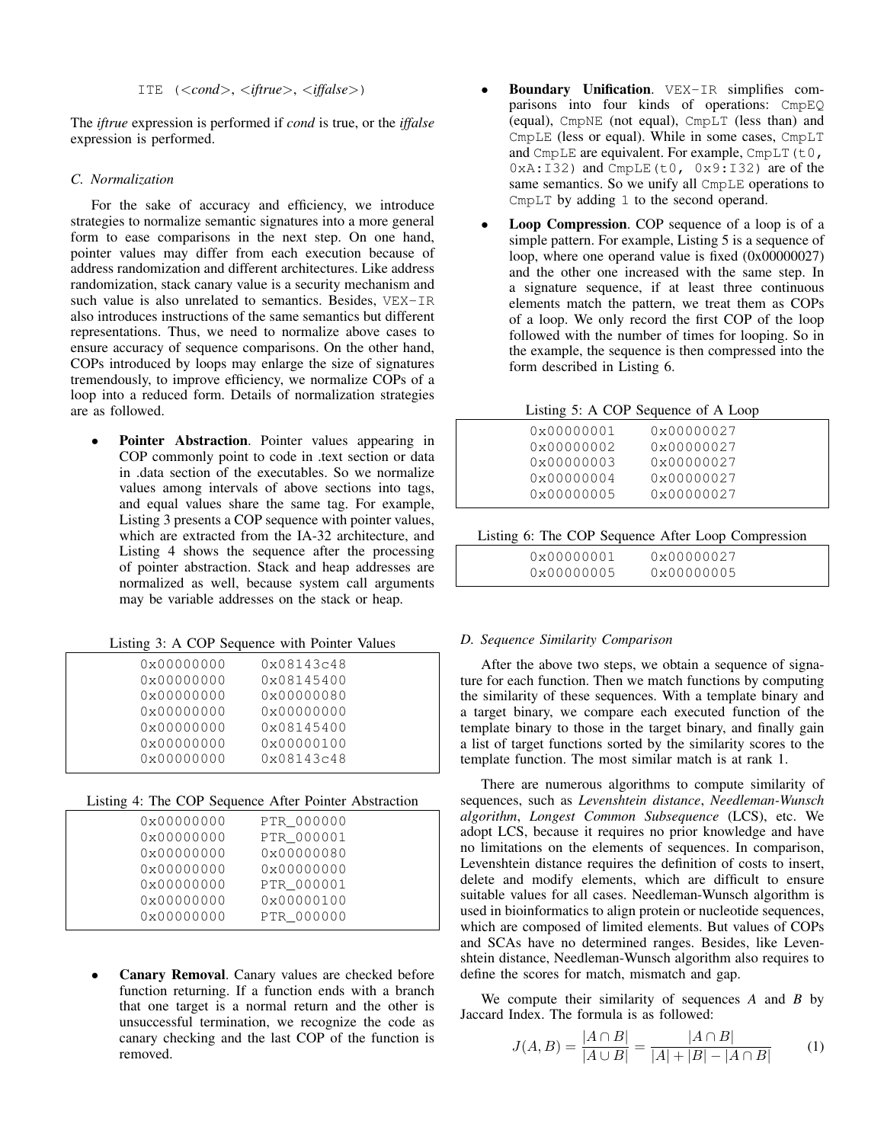ITE (*<cond>*, *<iftrue>*, *<iffalse>*)

The *iftrue* expression is performed if *cond* is true, or the *iffalse* expression is performed.

## *C. Normalization*

For the sake of accuracy and efficiency, we introduce strategies to normalize semantic signatures into a more general form to ease comparisons in the next step. On one hand, pointer values may differ from each execution because of address randomization and different architectures. Like address randomization, stack canary value is a security mechanism and such value is also unrelated to semantics. Besides, VEX-IR also introduces instructions of the same semantics but different representations. Thus, we need to normalize above cases to ensure accuracy of sequence comparisons. On the other hand, COPs introduced by loops may enlarge the size of signatures tremendously, to improve efficiency, we normalize COPs of a loop into a reduced form. Details of normalization strategies are as followed.

**Pointer Abstraction.** Pointer values appearing in COP commonly point to code in .text section or data in .data section of the executables. So we normalize values among intervals of above sections into tags, and equal values share the same tag. For example, Listing 3 presents a COP sequence with pointer values, which are extracted from the IA-32 architecture, and Listing 4 shows the sequence after the processing of pointer abstraction. Stack and heap addresses are normalized as well, because system call arguments may be variable addresses on the stack or heap.

| Listing 3: A COP Sequence with Pointer Values |  |  |  |  |  |
|-----------------------------------------------|--|--|--|--|--|
|-----------------------------------------------|--|--|--|--|--|

| 0x00000000 | $0 \times 08143c48$ |
|------------|---------------------|
| 0x00000000 | 0x08145400          |
| 0x00000000 | $0 \times 00000080$ |
| 0x00000000 | $0 \times 00000000$ |
| 0x00000000 | $0 \times 08145400$ |
| 0x00000000 | 0x00000100          |
| 0x00000000 | 0x08143c48          |
|            |                     |

| 0x00000000<br>0x00000000<br>0x00000000<br>0x00000000<br>0x00000000<br>0x00000000 | PTR 000000<br>PTR 000001<br>0x00000080<br>0x00000000<br>PTR 000001<br>0x00000100 |
|----------------------------------------------------------------------------------|----------------------------------------------------------------------------------|
| 0x00000000                                                                       | PTR 000000                                                                       |

**Canary Removal.** Canary values are checked before function returning. If a function ends with a branch that one target is a normal return and the other is unsuccessful termination, we recognize the code as canary checking and the last COP of the function is removed.

- **Boundary Unification.** VEX-IR simplifies comparisons into four kinds of operations: CmpEQ (equal), CmpNE (not equal), CmpLT (less than) and CmpLE (less or equal). While in some cases, CmpLT and CmpLE are equivalent. For example, CmpLT  $(t0, t)$  $0xA:I32$ ) and CmpLE(t0,  $0x9:I32$ ) are of the same semantics. So we unify all CmpLE operations to CmpLT by adding 1 to the second operand.
- **Loop Compression.** COP sequence of a loop is of a simple pattern. For example, Listing 5 is a sequence of loop, where one operand value is fixed (0x00000027) and the other one increased with the same step. In a signature sequence, if at least three continuous elements match the pattern, we treat them as COPs of a loop. We only record the first COP of the loop followed with the number of times for looping. So in the example, the sequence is then compressed into the form described in Listing 6.

#### Listing 5: A COP Sequence of A Loop

| $0 \times 00000001$ | $0 \times 00000027$ |  |
|---------------------|---------------------|--|
| $0 \times 00000002$ | 0x00000027          |  |
| $0 \times 00000003$ | 0x00000027          |  |
| 0x00000004          | $0 \times 00000027$ |  |
| $0 \times 00000005$ | $0 \times 00000027$ |  |
|                     |                     |  |

#### Listing 6: The COP Sequence After Loop Compression

| 0x00000001 | 0x00000027 |  |
|------------|------------|--|
| 0x00000005 | 0x00000005 |  |

#### *D. Sequence Similarity Comparison*

After the above two steps, we obtain a sequence of signature for each function. Then we match functions by computing the similarity of these sequences. With a template binary and a target binary, we compare each executed function of the template binary to those in the target binary, and finally gain a list of target functions sorted by the similarity scores to the template function. The most similar match is at rank 1.

There are numerous algorithms to compute similarity of sequences, such as *Levenshtein distance*, *Needleman-Wunsch algorithm*, *Longest Common Subsequence* (LCS), etc. We adopt LCS, because it requires no prior knowledge and have no limitations on the elements of sequences. In comparison, Levenshtein distance requires the definition of costs to insert, delete and modify elements, which are difficult to ensure suitable values for all cases. Needleman-Wunsch algorithm is used in bioinformatics to align protein or nucleotide sequences, which are composed of limited elements. But values of COPs and SCAs have no determined ranges. Besides, like Levenshtein distance, Needleman-Wunsch algorithm also requires to define the scores for match, mismatch and gap.

We compute their similarity of sequences *A* and *B* by Jaccard Index. The formula is as followed:

$$
J(A, B) = \frac{|A \cap B|}{|A \cup B|} = \frac{|A \cap B|}{|A| + |B| - |A \cap B|}
$$
 (1)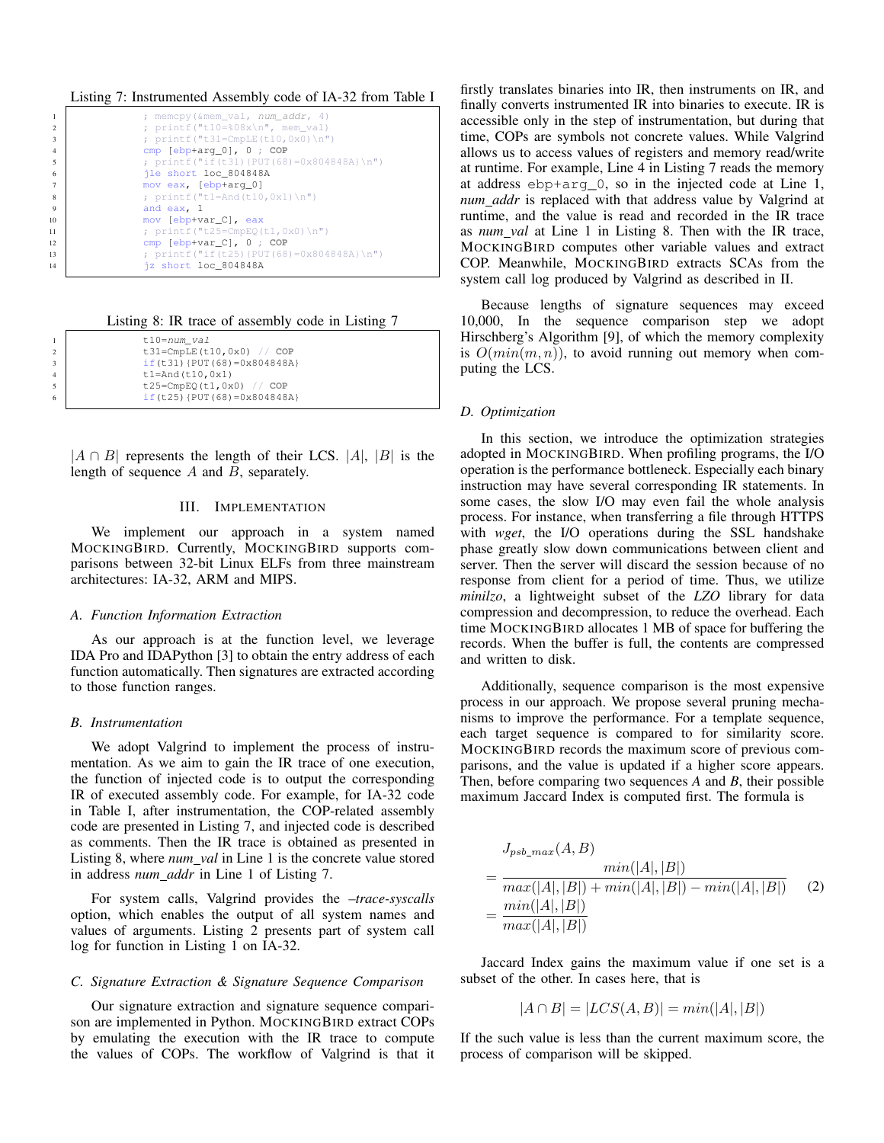Listing 7: Instrumented Assembly code of IA-32 from Table I

| 1              | ; memcpy (&mem_val, num_addr, 4)                 |
|----------------|--------------------------------------------------|
| $\mathfrak{D}$ | ; $print(f("t10=\frac{808x}{n", \text{mem val})$ |
| $\overline{3}$ | ; $print(f("t31=CmpLE(t10, 0x0) \n)n")$          |
| $\overline{4}$ | $cmp [ebp+arg_0], 0 ; COP$                       |
| 5              | ; $printf("if(t31) {PUT(68) = 0x804848A}{n")}$   |
| 6              | jle short loc_804848A                            |
| $\overline{7}$ | mov eax, [ebp+arq_0]                             |
| 8              | ; $print f("t1=And(t10, 0x1) \n\cdot n")$        |
| 9              | and eax, 1                                       |
| 10             | mov [ebp+var C], eax                             |
| 11             | ; $print(f("t25=CmpEO(t1, 0x0) \n)n")$           |
| 12             | $cmp [ebp+var_C], 0 ; COP$                       |
| 13             | ; $print("if(t25) {PUT(68) = 0x804848A} \n^"$    |
| 14             | iz short loc 804848A                             |
|                |                                                  |

Listing 8: IR trace of assembly code in Listing 7

| $\mathbf{1}$            | $t10 = num$ $val$                    |
|-------------------------|--------------------------------------|
| $\overline{c}$          | $t31 =$ CmpLE( $t10, 0x0$ ) // COP   |
| $\overline{\mathbf{3}}$ | $if(t31)$ {PUT (68) = 0x804848A}     |
| $\overline{4}$          | $t1 = And(t10, 0x1)$                 |
| 5                       | $t25 = CmpEO(t1, 0x0)$ // COP        |
| 6                       | if $(t25)$ {PUT $(68) = 0x804848A$ } |
|                         |                                      |

 $|A \cap B|$  represents the length of their LCS.  $|A|$ ,  $|B|$  is the length of sequence *A* and *B*, separately.

## III. IMPLEMENTATION

We implement our approach in a system named MOCKINGBIRD. Currently, MOCKINGBIRD supports comparisons between 32-bit Linux ELFs from three mainstream architectures: IA-32, ARM and MIPS.

#### *A. Function Information Extraction*

As our approach is at the function level, we leverage IDA Pro and IDAPython [3] to obtain the entry address of each function automatically. Then signatures are extracted according to those function ranges.

#### *B. Instrumentation*

We adopt Valgrind to implement the process of instrumentation. As we aim to gain the IR trace of one execution, the function of injected code is to output the corresponding IR of executed assembly code. For example, for IA-32 code in Table I, after instrumentation, the COP-related assembly code are presented in Listing 7, and injected code is described as comments. Then the IR trace is obtained as presented in Listing 8, where *num\_val* in Line 1 is the concrete value stored in address *num addr* in Line 1 of Listing 7.

For system calls, Valgrind provides the *–trace-syscalls* option, which enables the output of all system names and values of arguments. Listing 2 presents part of system call log for function in Listing 1 on IA-32.

#### *C. Signature Extraction & Signature Sequence Comparison*

Our signature extraction and signature sequence comparison are implemented in Python. MOCKINGBIRD extract COPs by emulating the execution with the IR trace to compute the values of COPs. The workflow of Valgrind is that it firstly translates binaries into IR, then instruments on IR, and finally converts instrumented IR into binaries to execute. IR is accessible only in the step of instrumentation, but during that time, COPs are symbols not concrete values. While Valgrind allows us to access values of registers and memory read/write at runtime. For example, Line 4 in Listing 7 reads the memory at address ebp+arg\_0, so in the injected code at Line 1, *num addr* is replaced with that address value by Valgrind at runtime, and the value is read and recorded in the IR trace as *num val* at Line 1 in Listing 8. Then with the IR trace, MOCKINGBIRD computes other variable values and extract COP. Meanwhile, MOCKINGBIRD extracts SCAs from the system call log produced by Valgrind as described in II.

Because lengths of signature sequences may exceed 10,000, In the sequence comparison step we adopt Hirschberg's Algorithm [9], of which the memory complexity is  $O(min(m, n))$ , to avoid running out memory when computing the LCS.

## *D. Optimization*

In this section, we introduce the optimization strategies adopted in MOCKINGBIRD. When profiling programs, the I/O operation is the performance bottleneck. Especially each binary instruction may have several corresponding IR statements. In some cases, the slow I/O may even fail the whole analysis process. For instance, when transferring a file through HTTPS with *wget*, the I/O operations during the SSL handshake phase greatly slow down communications between client and server. Then the server will discard the session because of no response from client for a period of time. Thus, we utilize *minilzo*, a lightweight subset of the *LZO* library for data compression and decompression, to reduce the overhead. Each time MOCKINGBIRD allocates 1 MB of space for buffering the records. When the buffer is full, the contents are compressed and written to disk.

Additionally, sequence comparison is the most expensive process in our approach. We propose several pruning mechanisms to improve the performance. For a template sequence, each target sequence is compared to for similarity score. MOCKINGBIRD records the maximum score of previous comparisons, and the value is updated if a higher score appears. Then, before comparing two sequences *A* and *B*, their possible maximum Jaccard Index is computed first. The formula is

$$
J_{psb\_max}(A, B)
$$
  
= 
$$
\frac{min(|A|, |B|)}{max(|A|, |B|) + min(|A|, |B|) - min(|A|, |B|)}
$$
 (2)  
= 
$$
\frac{min(|A|, |B|)}{max(|A|, |B|)}
$$

Jaccard Index gains the maximum value if one set is a subset of the other. In cases here, that is

$$
|A \cap B| = |LCS(A, B)| = min(|A|, |B|)
$$

If the such value is less than the current maximum score, the process of comparison will be skipped.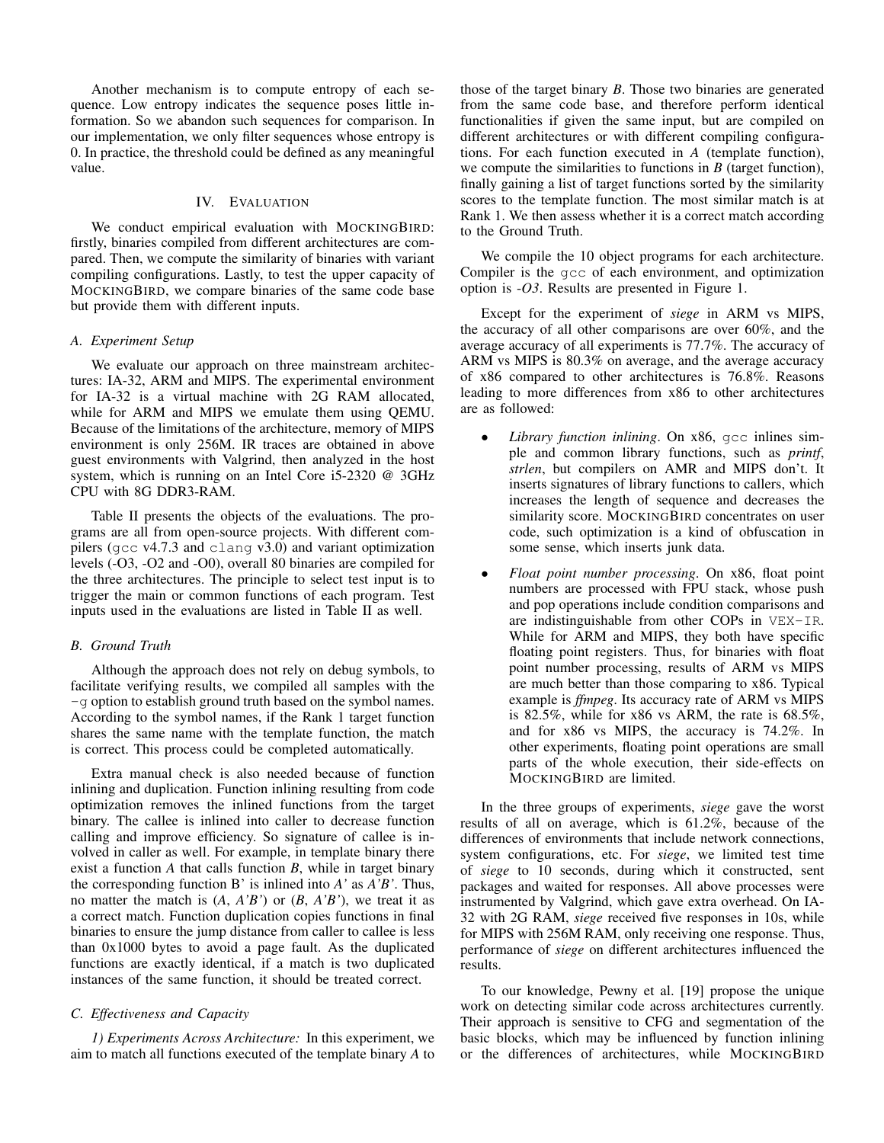Another mechanism is to compute entropy of each sequence. Low entropy indicates the sequence poses little information. So we abandon such sequences for comparison. In our implementation, we only filter sequences whose entropy is 0. In practice, the threshold could be defined as any meaningful value.

## IV. EVALUATION

We conduct empirical evaluation with MOCKINGBIRD: firstly, binaries compiled from different architectures are compared. Then, we compute the similarity of binaries with variant compiling configurations. Lastly, to test the upper capacity of MOCKINGBIRD, we compare binaries of the same code base but provide them with different inputs.

#### *A. Experiment Setup*

We evaluate our approach on three mainstream architectures: IA-32, ARM and MIPS. The experimental environment for IA-32 is a virtual machine with 2G RAM allocated, while for ARM and MIPS we emulate them using QEMU. Because of the limitations of the architecture, memory of MIPS environment is only 256M. IR traces are obtained in above guest environments with Valgrind, then analyzed in the host system, which is running on an Intel Core i5-2320 @ 3GHz CPU with 8G DDR3-RAM.

Table II presents the objects of the evaluations. The programs are all from open-source projects. With different compilers (gcc v4.7.3 and clang v3.0) and variant optimization levels (-O3, -O2 and -O0), overall 80 binaries are compiled for the three architectures. The principle to select test input is to trigger the main or common functions of each program. Test inputs used in the evaluations are listed in Table II as well.

## *B. Ground Truth*

Although the approach does not rely on debug symbols, to facilitate verifying results, we compiled all samples with the -g option to establish ground truth based on the symbol names. According to the symbol names, if the Rank 1 target function shares the same name with the template function, the match is correct. This process could be completed automatically.

Extra manual check is also needed because of function inlining and duplication. Function inlining resulting from code optimization removes the inlined functions from the target binary. The callee is inlined into caller to decrease function calling and improve efficiency. So signature of callee is involved in caller as well. For example, in template binary there exist a function *A* that calls function *B*, while in target binary the corresponding function B' is inlined into *A'* as *A'B'*. Thus, no matter the match is  $(A, A'B')$  or  $(B, A'B')$ , we treat it as a correct match. Function duplication copies functions in final binaries to ensure the jump distance from caller to callee is less than 0x1000 bytes to avoid a page fault. As the duplicated functions are exactly identical, if a match is two duplicated instances of the same function, it should be treated correct.

## *C. Effectiveness and Capacity*

*1) Experiments Across Architecture:* In this experiment, we aim to match all functions executed of the template binary *A* to those of the target binary *B*. Those two binaries are generated from the same code base, and therefore perform identical functionalities if given the same input, but are compiled on different architectures or with different compiling configurations. For each function executed in *A* (template function), we compute the similarities to functions in *B* (target function), finally gaining a list of target functions sorted by the similarity scores to the template function. The most similar match is at Rank 1. We then assess whether it is a correct match according to the Ground Truth.

We compile the 10 object programs for each architecture. Compiler is the gcc of each environment, and optimization option is -*O3*. Results are presented in Figure 1.

Except for the experiment of *siege* in ARM vs MIPS, the accuracy of all other comparisons are over 60%, and the average accuracy of all experiments is 77.7%. The accuracy of ARM vs MIPS is 80.3% on average, and the average accuracy of x86 compared to other architectures is 76.8%. Reasons leading to more differences from x86 to other architectures are as followed:

- *• Library function inlining*. On x86, gcc inlines simple and common library functions, such as *printf*, *strlen*, but compilers on AMR and MIPS don't. It inserts signatures of library functions to callers, which increases the length of sequence and decreases the similarity score. MOCKINGBIRD concentrates on user code, such optimization is a kind of obfuscation in some sense, which inserts junk data.
- *• Float point number processing*. On x86, float point numbers are processed with FPU stack, whose push and pop operations include condition comparisons and are indistinguishable from other COPs in VEX-IR. While for ARM and MIPS, they both have specific floating point registers. Thus, for binaries with float point number processing, results of ARM vs MIPS are much better than those comparing to x86. Typical example is *ffmpeg*. Its accuracy rate of ARM vs MIPS is 82.5%, while for x86 vs ARM, the rate is 68.5%, and for x86 vs MIPS, the accuracy is 74.2%. In other experiments, floating point operations are small parts of the whole execution, their side-effects on MOCKINGBIRD are limited.

In the three groups of experiments, *siege* gave the worst results of all on average, which is 61.2%, because of the differences of environments that include network connections, system configurations, etc. For *siege*, we limited test time of *siege* to 10 seconds, during which it constructed, sent packages and waited for responses. All above processes were instrumented by Valgrind, which gave extra overhead. On IA-32 with 2G RAM, *siege* received five responses in 10s, while for MIPS with 256M RAM, only receiving one response. Thus, performance of *siege* on different architectures influenced the results.

To our knowledge, Pewny et al. [19] propose the unique work on detecting similar code across architectures currently. Their approach is sensitive to CFG and segmentation of the basic blocks, which may be influenced by function inlining or the differences of architectures, while MOCKINGBIRD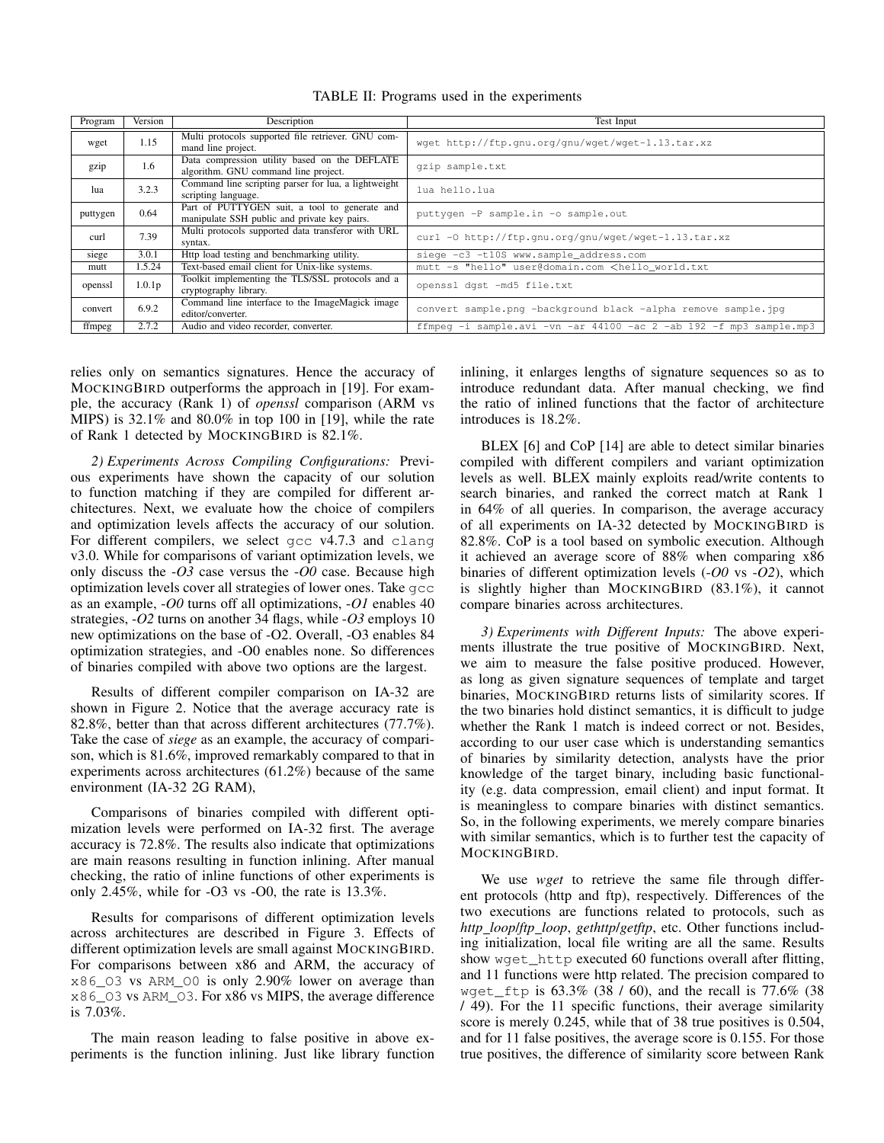| Program  | Version            | Description                                                                                   | Test Input                                                                     |
|----------|--------------------|-----------------------------------------------------------------------------------------------|--------------------------------------------------------------------------------|
| wget     | 1.15               | Multi protocols supported file retriever. GNU com-<br>mand line project.                      | wget http://ftp.gnu.org/gnu/wget/wget-1.13.tar.xz                              |
| gzip     | 1.6                | Data compression utility based on the DEFLATE<br>algorithm. GNU command line project.         | qzip sample.txt                                                                |
| lua      | 3.2.3              | Command line scripting parser for lua, a lightweight<br>scripting language.                   | lua hello.lua                                                                  |
| puttygen | 0.64               | Part of PUTTYGEN suit, a tool to generate and<br>manipulate SSH public and private key pairs. | puttygen -P sample.in -o sample.out                                            |
| curl     | 7.39               | Multi protocols supported data transferor with URL<br>syntax.                                 | curl -0 http://ftp.gnu.org/gnu/wget/wget-1.13.tar.xz                           |
| siege    | 3.0.1              | Http load testing and benchmarking utility.                                                   | siege -c3 -t10S www.sample address.com                                         |
| mutt     | 1.5.24             | Text-based email client for Unix-like systems.                                                | mutt -s "hello" user@domain.com <hello td="" world.txt<=""></hello>            |
| openssl  | 1.0.1 <sub>p</sub> | Toolkit implementing the TLS/SSL protocols and a<br>cryptography library.                     | openssl dgst -md5 file.txt                                                     |
| convert  | 6.9.2              | Command line interface to the ImageMagick image<br>editor/converter.                          | convert sample.png -background black -alpha remove sample.jpg                  |
| ffmpeg   | 2.7.2              | Audio and video recorder, converter.                                                          | ffmpeg $-i$ sample.avi $-vn$ $-ar$ 44100 $-ac$ 2 $-ab$ 192 $-f$ mp3 sample.mp3 |

TABLE II: Programs used in the experiments

relies only on semantics signatures. Hence the accuracy of MOCKINGBIRD outperforms the approach in [19]. For example, the accuracy (Rank 1) of *openssl* comparison (ARM vs MIPS) is 32.1% and 80.0% in top 100 in [19], while the rate of Rank 1 detected by MOCKINGBIRD is 82.1%.

*2) Experiments Across Compiling Configurations:* Previous experiments have shown the capacity of our solution to function matching if they are compiled for different architectures. Next, we evaluate how the choice of compilers and optimization levels affects the accuracy of our solution. For different compilers, we select gcc v4.7.3 and clang v3.0. While for comparisons of variant optimization levels, we only discuss the -*O3* case versus the -*O0* case. Because high optimization levels cover all strategies of lower ones. Take gcc as an example, -*O0* turns off all optimizations, -*O1* enables 40 strategies, -*O2* turns on another 34 flags, while -*O3* employs 10 new optimizations on the base of -O2. Overall, -O3 enables 84 optimization strategies, and -O0 enables none. So differences of binaries compiled with above two options are the largest.

Results of different compiler comparison on IA-32 are shown in Figure 2. Notice that the average accuracy rate is 82.8%, better than that across different architectures (77.7%). Take the case of *siege* as an example, the accuracy of comparison, which is 81.6%, improved remarkably compared to that in experiments across architectures (61.2%) because of the same environment (IA-32 2G RAM),

Comparisons of binaries compiled with different optimization levels were performed on IA-32 first. The average accuracy is 72.8%. The results also indicate that optimizations are main reasons resulting in function inlining. After manual checking, the ratio of inline functions of other experiments is only 2.45%, while for -O3 vs -O0, the rate is 13.3%.

Results for comparisons of different optimization levels across architectures are described in Figure 3. Effects of different optimization levels are small against MOCKINGBIRD. For comparisons between x86 and ARM, the accuracy of x86\_O3 vs ARM\_O0 is only 2.90% lower on average than x86\_O3 vs ARM\_O3. For x86 vs MIPS, the average difference is 7.03%.

The main reason leading to false positive in above experiments is the function inlining. Just like library function inlining, it enlarges lengths of signature sequences so as to introduce redundant data. After manual checking, we find the ratio of inlined functions that the factor of architecture introduces is 18.2%.

BLEX [6] and CoP [14] are able to detect similar binaries compiled with different compilers and variant optimization levels as well. BLEX mainly exploits read/write contents to search binaries, and ranked the correct match at Rank 1 in 64% of all queries. In comparison, the average accuracy of all experiments on IA-32 detected by MOCKINGBIRD is 82.8%. CoP is a tool based on symbolic execution. Although it achieved an average score of 88% when comparing x86 binaries of different optimization levels (-*O0* vs -*O2*), which is slightly higher than MOCKINGBIRD (83.1%), it cannot compare binaries across architectures.

*3) Experiments with Different Inputs:* The above experiments illustrate the true positive of MOCKINGBIRD. Next, we aim to measure the false positive produced. However, as long as given signature sequences of template and target binaries, MOCKINGBIRD returns lists of similarity scores. If the two binaries hold distinct semantics, it is difficult to judge whether the Rank 1 match is indeed correct or not. Besides, according to our user case which is understanding semantics of binaries by similarity detection, analysts have the prior knowledge of the target binary, including basic functionality (e.g. data compression, email client) and input format. It is meaningless to compare binaries with distinct semantics. So, in the following experiments, we merely compare binaries with similar semantics, which is to further test the capacity of MOCKINGBIRD.

We use *wget* to retrieve the same file through different protocols (http and ftp), respectively. Differences of the two executions are functions related to protocols, such as *http loop*/*ftp loop*, *gethttp*/*getftp*, etc. Other functions including initialization, local file writing are all the same. Results show wget\_http executed 60 functions overall after flitting, and 11 functions were http related. The precision compared to wget\_ftp is 63.3% (38 / 60), and the recall is 77.6% (38 / 49). For the 11 specific functions, their average similarity score is merely 0.245, while that of 38 true positives is 0.504, and for 11 false positives, the average score is 0.155. For those true positives, the difference of similarity score between Rank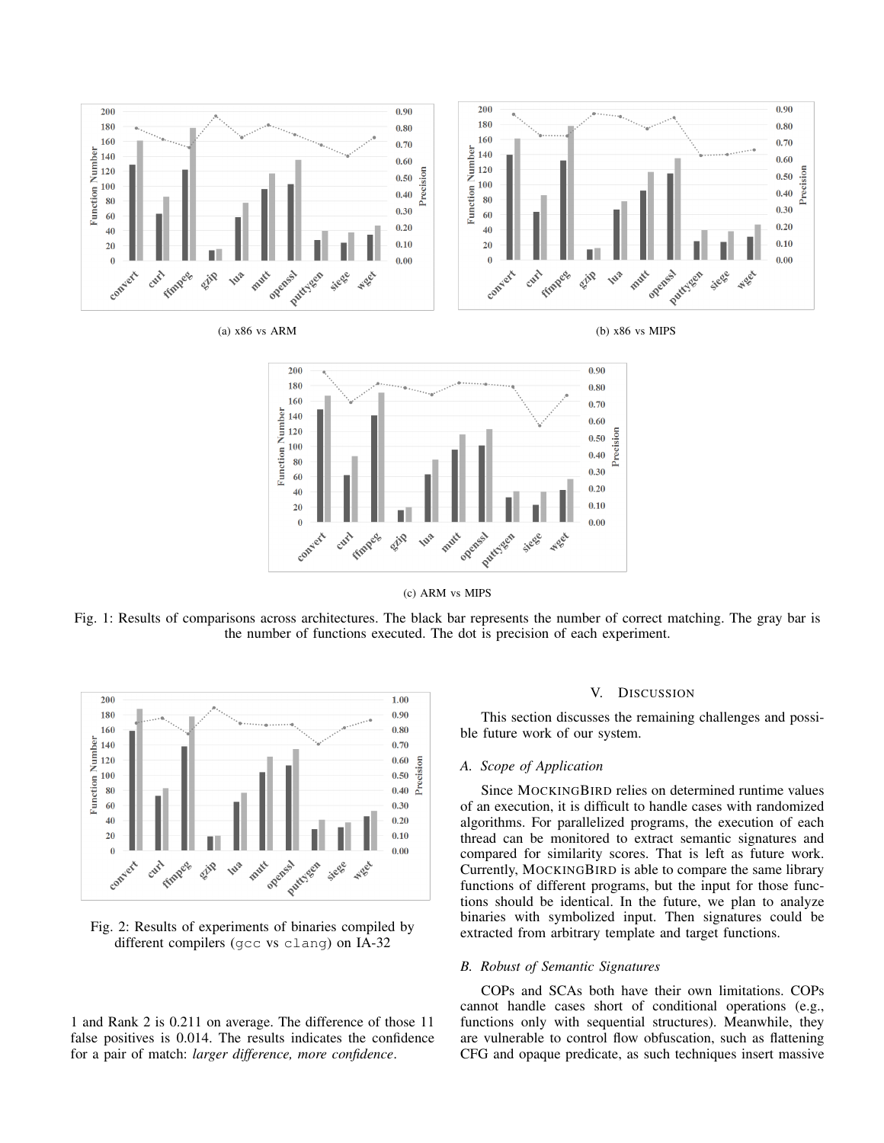





Fig. 1: Results of comparisons across architectures. The black bar represents the number of correct matching. The gray bar is the number of functions executed. The dot is precision of each experiment.



Fig. 2: Results of experiments of binaries compiled by different compilers (gcc vs clang) on IA-32

1 and Rank 2 is 0.211 on average. The difference of those 11 false positives is 0.014. The results indicates the confidence for a pair of match: *larger difference, more confidence*.

#### V. DISCUSSION

This section discusses the remaining challenges and possible future work of our system.

# *A. Scope of Application*

Since MOCKINGBIRD relies on determined runtime values of an execution, it is difficult to handle cases with randomized algorithms. For parallelized programs, the execution of each thread can be monitored to extract semantic signatures and compared for similarity scores. That is left as future work. Currently, MOCKINGBIRD is able to compare the same library functions of different programs, but the input for those functions should be identical. In the future, we plan to analyze binaries with symbolized input. Then signatures could be extracted from arbitrary template and target functions.

### *B. Robust of Semantic Signatures*

COPs and SCAs both have their own limitations. COPs cannot handle cases short of conditional operations (e.g., functions only with sequential structures). Meanwhile, they are vulnerable to control flow obfuscation, such as flattening CFG and opaque predicate, as such techniques insert massive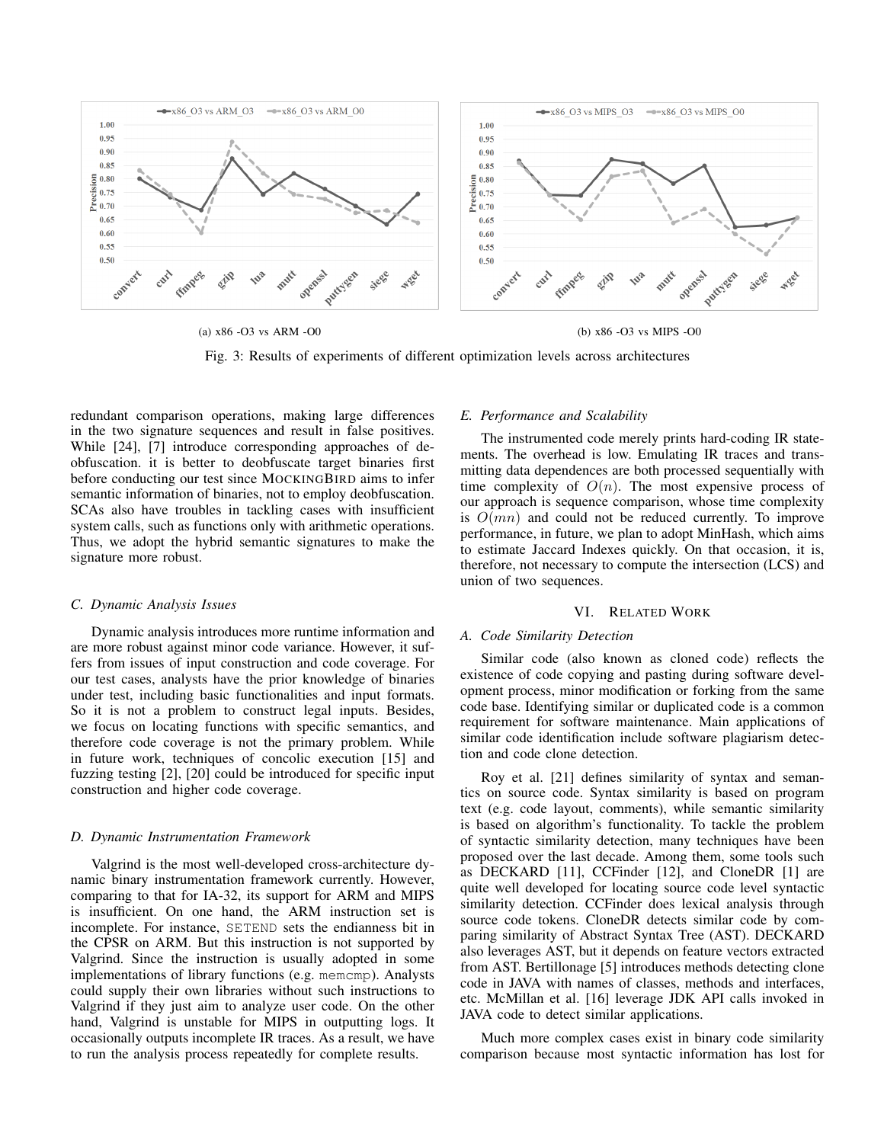

(a) x86 -O3 vs ARM -O0 (b) x86 -O3 vs MIPS -O0

Fig. 3: Results of experiments of different optimization levels across architectures

redundant comparison operations, making large differences in the two signature sequences and result in false positives. While [24], [7] introduce corresponding approaches of deobfuscation. it is better to deobfuscate target binaries first before conducting our test since MOCKINGBIRD aims to infer semantic information of binaries, not to employ deobfuscation. SCAs also have troubles in tackling cases with insufficient system calls, such as functions only with arithmetic operations. Thus, we adopt the hybrid semantic signatures to make the signature more robust.

#### *C. Dynamic Analysis Issues*

Dynamic analysis introduces more runtime information and are more robust against minor code variance. However, it suffers from issues of input construction and code coverage. For our test cases, analysts have the prior knowledge of binaries under test, including basic functionalities and input formats. So it is not a problem to construct legal inputs. Besides, we focus on locating functions with specific semantics, and therefore code coverage is not the primary problem. While in future work, techniques of concolic execution [15] and fuzzing testing [2], [20] could be introduced for specific input construction and higher code coverage.

#### *D. Dynamic Instrumentation Framework*

Valgrind is the most well-developed cross-architecture dynamic binary instrumentation framework currently. However, comparing to that for IA-32, its support for ARM and MIPS is insufficient. On one hand, the ARM instruction set is incomplete. For instance, SETEND sets the endianness bit in the CPSR on ARM. But this instruction is not supported by Valgrind. Since the instruction is usually adopted in some implementations of library functions (e.g. memcmp). Analysts could supply their own libraries without such instructions to Valgrind if they just aim to analyze user code. On the other hand, Valgrind is unstable for MIPS in outputting logs. It occasionally outputs incomplete IR traces. As a result, we have to run the analysis process repeatedly for complete results.

## *E. Performance and Scalability*

The instrumented code merely prints hard-coding IR statements. The overhead is low. Emulating IR traces and transmitting data dependences are both processed sequentially with time complexity of  $O(n)$ . The most expensive process of our approach is sequence comparison, whose time complexity is *O*(*mn*) and could not be reduced currently. To improve performance, in future, we plan to adopt MinHash, which aims to estimate Jaccard Indexes quickly. On that occasion, it is, therefore, not necessary to compute the intersection (LCS) and union of two sequences.

## VI. RELATED WORK

## *A. Code Similarity Detection*

Similar code (also known as cloned code) reflects the existence of code copying and pasting during software development process, minor modification or forking from the same code base. Identifying similar or duplicated code is a common requirement for software maintenance. Main applications of similar code identification include software plagiarism detection and code clone detection.

Roy et al. [21] defines similarity of syntax and semantics on source code. Syntax similarity is based on program text (e.g. code layout, comments), while semantic similarity is based on algorithm's functionality. To tackle the problem of syntactic similarity detection, many techniques have been proposed over the last decade. Among them, some tools such as DECKARD [11], CCFinder [12], and CloneDR [1] are quite well developed for locating source code level syntactic similarity detection. CCFinder does lexical analysis through source code tokens. CloneDR detects similar code by comparing similarity of Abstract Syntax Tree (AST). DECKARD also leverages AST, but it depends on feature vectors extracted from AST. Bertillonage [5] introduces methods detecting clone code in JAVA with names of classes, methods and interfaces, etc. McMillan et al. [16] leverage JDK API calls invoked in JAVA code to detect similar applications.

Much more complex cases exist in binary code similarity comparison because most syntactic information has lost for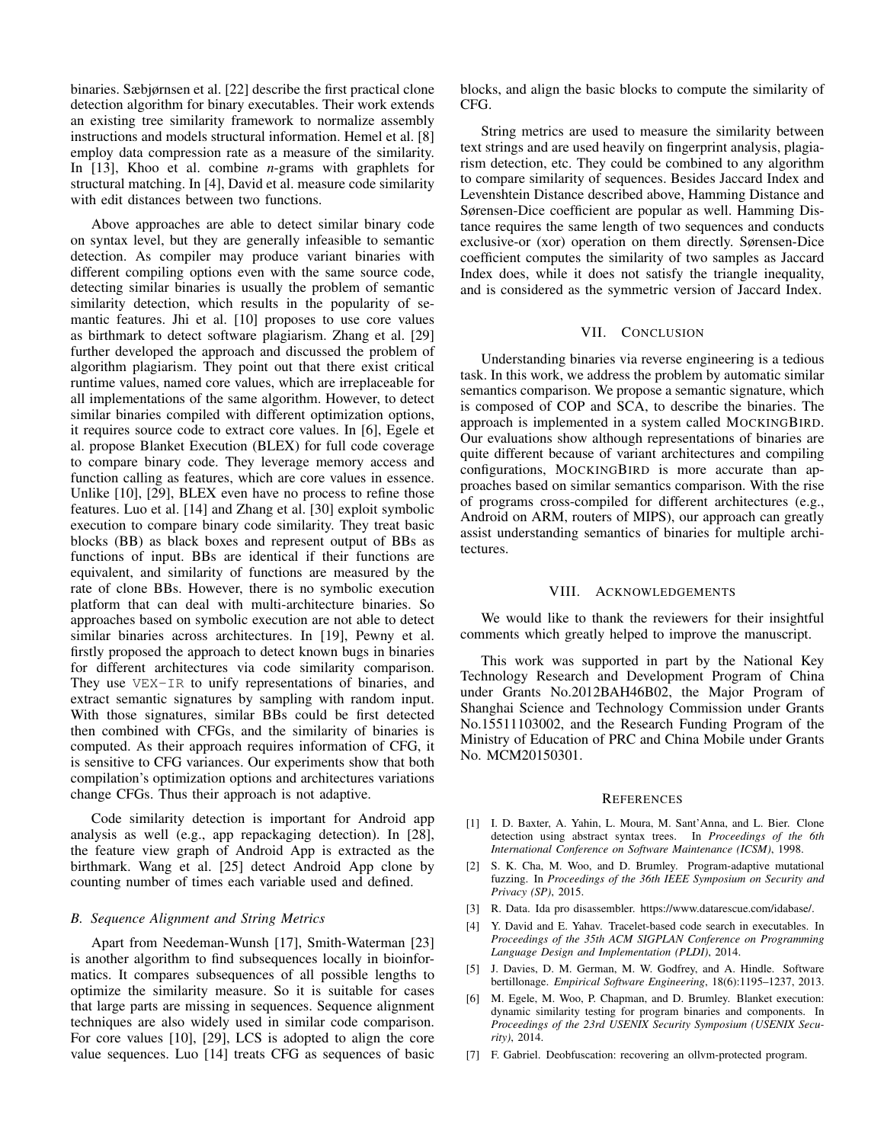binaries. Sæbjørnsen et al. [22] describe the first practical clone detection algorithm for binary executables. Their work extends an existing tree similarity framework to normalize assembly instructions and models structural information. Hemel et al. [8] employ data compression rate as a measure of the similarity. In [13], Khoo et al. combine *n*-grams with graphlets for structural matching. In [4], David et al. measure code similarity with edit distances between two functions.

Above approaches are able to detect similar binary code on syntax level, but they are generally infeasible to semantic detection. As compiler may produce variant binaries with different compiling options even with the same source code, detecting similar binaries is usually the problem of semantic similarity detection, which results in the popularity of semantic features. Jhi et al. [10] proposes to use core values as birthmark to detect software plagiarism. Zhang et al. [29] further developed the approach and discussed the problem of algorithm plagiarism. They point out that there exist critical runtime values, named core values, which are irreplaceable for all implementations of the same algorithm. However, to detect similar binaries compiled with different optimization options, it requires source code to extract core values. In [6], Egele et al. propose Blanket Execution (BLEX) for full code coverage to compare binary code. They leverage memory access and function calling as features, which are core values in essence. Unlike [10], [29], BLEX even have no process to refine those features. Luo et al. [14] and Zhang et al. [30] exploit symbolic execution to compare binary code similarity. They treat basic blocks (BB) as black boxes and represent output of BBs as functions of input. BBs are identical if their functions are equivalent, and similarity of functions are measured by the rate of clone BBs. However, there is no symbolic execution platform that can deal with multi-architecture binaries. So approaches based on symbolic execution are not able to detect similar binaries across architectures. In [19], Pewny et al. firstly proposed the approach to detect known bugs in binaries for different architectures via code similarity comparison. They use VEX-IR to unify representations of binaries, and extract semantic signatures by sampling with random input. With those signatures, similar BBs could be first detected then combined with CFGs, and the similarity of binaries is computed. As their approach requires information of CFG, it is sensitive to CFG variances. Our experiments show that both compilation's optimization options and architectures variations change CFGs. Thus their approach is not adaptive.

Code similarity detection is important for Android app analysis as well (e.g., app repackaging detection). In [28], the feature view graph of Android App is extracted as the birthmark. Wang et al. [25] detect Android App clone by counting number of times each variable used and defined.

## *B. Sequence Alignment and String Metrics*

Apart from Needeman-Wunsh [17], Smith-Waterman [23] is another algorithm to find subsequences locally in bioinformatics. It compares subsequences of all possible lengths to optimize the similarity measure. So it is suitable for cases that large parts are missing in sequences. Sequence alignment techniques are also widely used in similar code comparison. For core values [10], [29], LCS is adopted to align the core value sequences. Luo [14] treats CFG as sequences of basic blocks, and align the basic blocks to compute the similarity of CFG.

String metrics are used to measure the similarity between text strings and are used heavily on fingerprint analysis, plagiarism detection, etc. They could be combined to any algorithm to compare similarity of sequences. Besides Jaccard Index and Levenshtein Distance described above, Hamming Distance and Sørensen-Dice coefficient are popular as well. Hamming Distance requires the same length of two sequences and conducts exclusive-or (xor) operation on them directly. Sørensen-Dice coefficient computes the similarity of two samples as Jaccard Index does, while it does not satisfy the triangle inequality, and is considered as the symmetric version of Jaccard Index.

# VII. CONCLUSION

Understanding binaries via reverse engineering is a tedious task. In this work, we address the problem by automatic similar semantics comparison. We propose a semantic signature, which is composed of COP and SCA, to describe the binaries. The approach is implemented in a system called MOCKINGBIRD. Our evaluations show although representations of binaries are quite different because of variant architectures and compiling configurations, MOCKINGBIRD is more accurate than approaches based on similar semantics comparison. With the rise of programs cross-compiled for different architectures (e.g., Android on ARM, routers of MIPS), our approach can greatly assist understanding semantics of binaries for multiple architectures.

#### VIII. ACKNOWLEDGEMENTS

We would like to thank the reviewers for their insightful comments which greatly helped to improve the manuscript.

This work was supported in part by the National Key Technology Research and Development Program of China under Grants No.2012BAH46B02, the Major Program of Shanghai Science and Technology Commission under Grants No.15511103002, and the Research Funding Program of the Ministry of Education of PRC and China Mobile under Grants No. MCM20150301.

#### **REFERENCES**

- [1] I. D. Baxter, A. Yahin, L. Moura, M. Sant'Anna, and L. Bier. Clone detection using abstract syntax trees. In *Proceedings of the 6th International Conference on Software Maintenance (ICSM)*, 1998.
- [2] S. K. Cha, M. Woo, and D. Brumley. Program-adaptive mutational fuzzing. In *Proceedings of the 36th IEEE Symposium on Security and Privacy (SP)*, 2015.
- [3] R. Data. Ida pro disassembler. https://www.datarescue.com/idabase/.
- [4] Y. David and E. Yahav. Tracelet-based code search in executables. In *Proceedings of the 35th ACM SIGPLAN Conference on Programming Language Design and Implementation (PLDI)*, 2014.
- [5] J. Davies, D. M. German, M. W. Godfrey, and A. Hindle. Software bertillonage. *Empirical Software Engineering*, 18(6):1195–1237, 2013.
- [6] M. Egele, M. Woo, P. Chapman, and D. Brumley. Blanket execution: dynamic similarity testing for program binaries and components. In *Proceedings of the 23rd USENIX Security Symposium (USENIX Security)*, 2014.
- [7] F. Gabriel. Deobfuscation: recovering an ollvm-protected program.